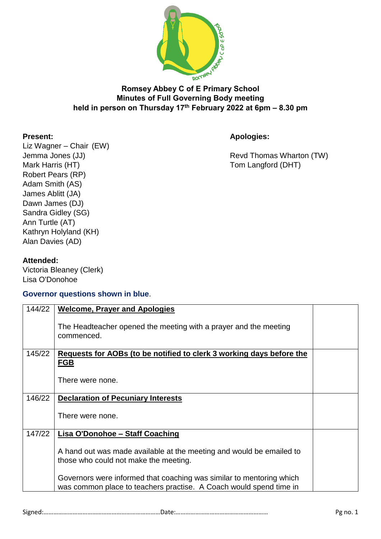

## **Romsey Abbey C of E Primary School Minutes of Full Governing Body meeting held in person on Thursday 17th February 2022 at 6pm – 8.30 pm**

**Present: Apologies:**

Liz Wagner – Chair (EW) Mark Harris (HT) Mark Harris (HT) Robert Pears (RP) Adam Smith (AS) James Ablitt (JA) Dawn James (DJ) Sandra Gidley (SG) Ann Turtle (AT) Kathryn Holyland (KH) Alan Davies (AD)

Jemma Jones (JJ) **Solution Contract Contract Contract Contract Contract Contract Contract Contract Contract Contract Contract Contract Contract Contract Contract Contract Contract Contract Contract Contract Contract Contra** 

## **Attended:**

Victoria Bleaney (Clerk) Lisa O'Donohoe

## **Governor questions shown in blue**.

| 144/22 | <b>Welcome, Prayer and Apologies</b>                                           |  |
|--------|--------------------------------------------------------------------------------|--|
|        | The Headteacher opened the meeting with a prayer and the meeting<br>commenced. |  |
| 145/22 | Requests for AOBs (to be notified to clerk 3 working days before the           |  |
|        | <b>FGB</b>                                                                     |  |
|        |                                                                                |  |
|        |                                                                                |  |
|        | There were none.                                                               |  |
|        |                                                                                |  |
| 146/22 | <b>Declaration of Pecuniary Interests</b>                                      |  |
|        |                                                                                |  |
|        | There were none.                                                               |  |
|        |                                                                                |  |
| 147/22 | <b>Lisa O'Donohoe - Staff Coaching</b>                                         |  |
|        |                                                                                |  |
|        | A hand out was made available at the meeting and would be emailed to           |  |
|        |                                                                                |  |
|        | those who could not make the meeting.                                          |  |
|        |                                                                                |  |
|        | Governors were informed that coaching was similar to mentoring which           |  |
|        | was common place to teachers practise. A Coach would spend time in             |  |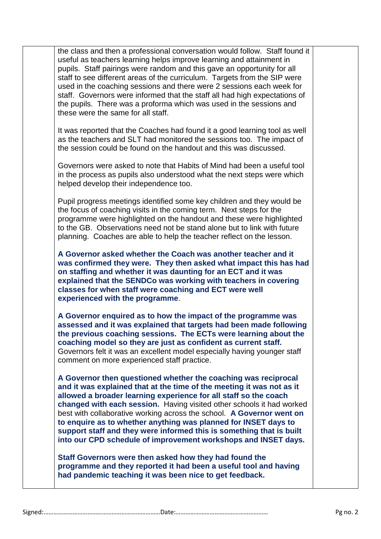the class and then a professional conversation would follow. Staff found it useful as teachers learning helps improve learning and attainment in pupils. Staff pairings were random and this gave an opportunity for all staff to see different areas of the curriculum. Targets from the SIP were used in the coaching sessions and there were 2 sessions each week for staff. Governors were informed that the staff all had high expectations of the pupils. There was a proforma which was used in the sessions and these were the same for all staff.

It was reported that the Coaches had found it a good learning tool as well as the teachers and SLT had monitored the sessions too. The impact of the session could be found on the handout and this was discussed.

Governors were asked to note that Habits of Mind had been a useful tool in the process as pupils also understood what the next steps were which helped develop their independence too.

Pupil progress meetings identified some key children and they would be the focus of coaching visits in the coming term. Next steps for the programme were highlighted on the handout and these were highlighted to the GB. Observations need not be stand alone but to link with future planning. Coaches are able to help the teacher reflect on the lesson.

**A Governor asked whether the Coach was another teacher and it was confirmed they were. They then asked what impact this has had on staffing and whether it was daunting for an ECT and it was explained that the SENDCo was working with teachers in covering classes for when staff were coaching and ECT were well experienced with the programme**.

**A Governor enquired as to how the impact of the programme was assessed and it was explained that targets had been made following the previous coaching sessions. The ECTs were learning about the coaching model so they are just as confident as current staff.** Governors felt it was an excellent model especially having younger staff comment on more experienced staff practice.

**A Governor then questioned whether the coaching was reciprocal and it was explained that at the time of the meeting it was not as it allowed a broader learning experience for all staff so the coach changed with each session.** Having visited other schools it had worked best with collaborative working across the school. **A Governor went on to enquire as to whether anything was planned for INSET days to support staff and they were informed this is something that is built into our CPD schedule of improvement workshops and INSET days.**

**Staff Governors were then asked how they had found the programme and they reported it had been a useful tool and having had pandemic teaching it was been nice to get feedback.**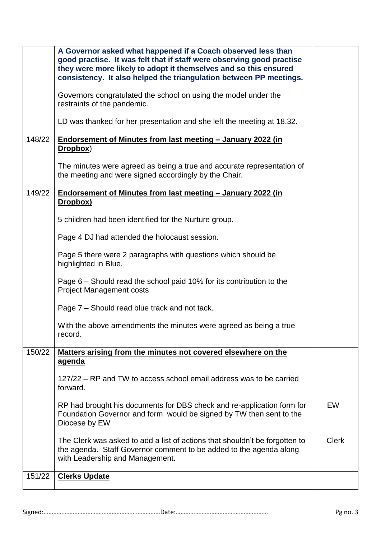| Governors congratulated the school on using the model under the<br>restraints of the pandemic.<br>LD was thanked for her presentation and she left the meeting at 18.32.<br>148/22<br>Endorsement of Minutes from last meeting - January 2022 (in<br>Dropbox)<br>The minutes were agreed as being a true and accurate representation of<br>the meeting and were signed accordingly by the Chair.<br>149/22<br>Endorsement of Minutes from last meeting - January 2022 (in<br>Dropbox)<br>5 children had been identified for the Nurture group.<br>Page 4 DJ had attended the holocaust session.<br>Page 5 there were 2 paragraphs with questions which should be<br>highlighted in Blue.<br>Page 6 – Should read the school paid 10% for its contribution to the<br><b>Project Management costs</b><br>Page 7 – Should read blue track and not tack.<br>With the above amendments the minutes were agreed as being a true<br>record.<br>150/22<br>Matters arising from the minutes not covered elsewhere on the<br><u>agenda</u><br>127/22 – RP and TW to access school email address was to be carried<br>forward.<br><b>EW</b><br>RP had brought his documents for DBS check and re-application form for<br>Foundation Governor and form would be signed by TW then sent to the<br>Diocese by EW<br><b>Clerk</b><br>The Clerk was asked to add a list of actions that shouldn't be forgotten to<br>the agenda. Staff Governor comment to be added to the agenda along<br>with Leadership and Management. | A Governor asked what happened if a Coach observed less than<br>good practise. It was felt that if staff were observing good practise<br>they were more likely to adopt it themselves and so this ensured<br>consistency. It also helped the triangulation between PP meetings. |  |
|------------------------------------------------------------------------------------------------------------------------------------------------------------------------------------------------------------------------------------------------------------------------------------------------------------------------------------------------------------------------------------------------------------------------------------------------------------------------------------------------------------------------------------------------------------------------------------------------------------------------------------------------------------------------------------------------------------------------------------------------------------------------------------------------------------------------------------------------------------------------------------------------------------------------------------------------------------------------------------------------------------------------------------------------------------------------------------------------------------------------------------------------------------------------------------------------------------------------------------------------------------------------------------------------------------------------------------------------------------------------------------------------------------------------------------------------------------------------------------------------------------|---------------------------------------------------------------------------------------------------------------------------------------------------------------------------------------------------------------------------------------------------------------------------------|--|
|                                                                                                                                                                                                                                                                                                                                                                                                                                                                                                                                                                                                                                                                                                                                                                                                                                                                                                                                                                                                                                                                                                                                                                                                                                                                                                                                                                                                                                                                                                            |                                                                                                                                                                                                                                                                                 |  |
|                                                                                                                                                                                                                                                                                                                                                                                                                                                                                                                                                                                                                                                                                                                                                                                                                                                                                                                                                                                                                                                                                                                                                                                                                                                                                                                                                                                                                                                                                                            |                                                                                                                                                                                                                                                                                 |  |
|                                                                                                                                                                                                                                                                                                                                                                                                                                                                                                                                                                                                                                                                                                                                                                                                                                                                                                                                                                                                                                                                                                                                                                                                                                                                                                                                                                                                                                                                                                            |                                                                                                                                                                                                                                                                                 |  |
|                                                                                                                                                                                                                                                                                                                                                                                                                                                                                                                                                                                                                                                                                                                                                                                                                                                                                                                                                                                                                                                                                                                                                                                                                                                                                                                                                                                                                                                                                                            |                                                                                                                                                                                                                                                                                 |  |
|                                                                                                                                                                                                                                                                                                                                                                                                                                                                                                                                                                                                                                                                                                                                                                                                                                                                                                                                                                                                                                                                                                                                                                                                                                                                                                                                                                                                                                                                                                            |                                                                                                                                                                                                                                                                                 |  |
|                                                                                                                                                                                                                                                                                                                                                                                                                                                                                                                                                                                                                                                                                                                                                                                                                                                                                                                                                                                                                                                                                                                                                                                                                                                                                                                                                                                                                                                                                                            |                                                                                                                                                                                                                                                                                 |  |
|                                                                                                                                                                                                                                                                                                                                                                                                                                                                                                                                                                                                                                                                                                                                                                                                                                                                                                                                                                                                                                                                                                                                                                                                                                                                                                                                                                                                                                                                                                            |                                                                                                                                                                                                                                                                                 |  |
|                                                                                                                                                                                                                                                                                                                                                                                                                                                                                                                                                                                                                                                                                                                                                                                                                                                                                                                                                                                                                                                                                                                                                                                                                                                                                                                                                                                                                                                                                                            |                                                                                                                                                                                                                                                                                 |  |
|                                                                                                                                                                                                                                                                                                                                                                                                                                                                                                                                                                                                                                                                                                                                                                                                                                                                                                                                                                                                                                                                                                                                                                                                                                                                                                                                                                                                                                                                                                            |                                                                                                                                                                                                                                                                                 |  |
|                                                                                                                                                                                                                                                                                                                                                                                                                                                                                                                                                                                                                                                                                                                                                                                                                                                                                                                                                                                                                                                                                                                                                                                                                                                                                                                                                                                                                                                                                                            |                                                                                                                                                                                                                                                                                 |  |
|                                                                                                                                                                                                                                                                                                                                                                                                                                                                                                                                                                                                                                                                                                                                                                                                                                                                                                                                                                                                                                                                                                                                                                                                                                                                                                                                                                                                                                                                                                            |                                                                                                                                                                                                                                                                                 |  |
|                                                                                                                                                                                                                                                                                                                                                                                                                                                                                                                                                                                                                                                                                                                                                                                                                                                                                                                                                                                                                                                                                                                                                                                                                                                                                                                                                                                                                                                                                                            |                                                                                                                                                                                                                                                                                 |  |
|                                                                                                                                                                                                                                                                                                                                                                                                                                                                                                                                                                                                                                                                                                                                                                                                                                                                                                                                                                                                                                                                                                                                                                                                                                                                                                                                                                                                                                                                                                            |                                                                                                                                                                                                                                                                                 |  |
|                                                                                                                                                                                                                                                                                                                                                                                                                                                                                                                                                                                                                                                                                                                                                                                                                                                                                                                                                                                                                                                                                                                                                                                                                                                                                                                                                                                                                                                                                                            |                                                                                                                                                                                                                                                                                 |  |
|                                                                                                                                                                                                                                                                                                                                                                                                                                                                                                                                                                                                                                                                                                                                                                                                                                                                                                                                                                                                                                                                                                                                                                                                                                                                                                                                                                                                                                                                                                            |                                                                                                                                                                                                                                                                                 |  |
| 151/22<br><b>Clerks Update</b>                                                                                                                                                                                                                                                                                                                                                                                                                                                                                                                                                                                                                                                                                                                                                                                                                                                                                                                                                                                                                                                                                                                                                                                                                                                                                                                                                                                                                                                                             |                                                                                                                                                                                                                                                                                 |  |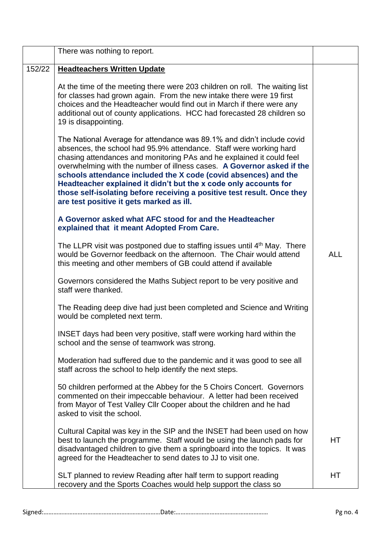|        | There was nothing to report.                                                                                                                                                                                                                                                                                                                                                                                                                                                                                                                                  |            |
|--------|---------------------------------------------------------------------------------------------------------------------------------------------------------------------------------------------------------------------------------------------------------------------------------------------------------------------------------------------------------------------------------------------------------------------------------------------------------------------------------------------------------------------------------------------------------------|------------|
| 152/22 | <b>Headteachers Written Update</b>                                                                                                                                                                                                                                                                                                                                                                                                                                                                                                                            |            |
|        | At the time of the meeting there were 203 children on roll. The waiting list<br>for classes had grown again. From the new intake there were 19 first<br>choices and the Headteacher would find out in March if there were any<br>additional out of county applications. HCC had forecasted 28 children so<br>19 is disappointing.                                                                                                                                                                                                                             |            |
|        | The National Average for attendance was 89.1% and didn't include covid<br>absences, the school had 95.9% attendance. Staff were working hard<br>chasing attendances and monitoring PAs and he explained it could feel<br>overwhelming with the number of illness cases. A Governor asked if the<br>schools attendance included the X code (covid absences) and the<br>Headteacher explained it didn't but the x code only accounts for<br>those self-isolating before receiving a positive test result. Once they<br>are test positive it gets marked as ill. |            |
|        | A Governor asked what AFC stood for and the Headteacher<br>explained that it meant Adopted From Care.                                                                                                                                                                                                                                                                                                                                                                                                                                                         |            |
|        | The LLPR visit was postponed due to staffing issues until 4 <sup>th</sup> May. There<br>would be Governor feedback on the afternoon. The Chair would attend<br>this meeting and other members of GB could attend if available                                                                                                                                                                                                                                                                                                                                 | <b>ALL</b> |
|        | Governors considered the Maths Subject report to be very positive and<br>staff were thanked.                                                                                                                                                                                                                                                                                                                                                                                                                                                                  |            |
|        | The Reading deep dive had just been completed and Science and Writing<br>would be completed next term.                                                                                                                                                                                                                                                                                                                                                                                                                                                        |            |
|        | INSET days had been very positive, staff were working hard within the<br>school and the sense of teamwork was strong.                                                                                                                                                                                                                                                                                                                                                                                                                                         |            |
|        | Moderation had suffered due to the pandemic and it was good to see all<br>staff across the school to help identify the next steps.                                                                                                                                                                                                                                                                                                                                                                                                                            |            |
|        | 50 children performed at the Abbey for the 5 Choirs Concert. Governors<br>commented on their impeccable behaviour. A letter had been received<br>from Mayor of Test Valley Cllr Cooper about the children and he had<br>asked to visit the school.                                                                                                                                                                                                                                                                                                            |            |
|        | Cultural Capital was key in the SIP and the INSET had been used on how<br>best to launch the programme. Staff would be using the launch pads for<br>disadvantaged children to give them a springboard into the topics. It was<br>agreed for the Headteacher to send dates to JJ to visit one.                                                                                                                                                                                                                                                                 | HТ         |
|        | SLT planned to review Reading after half term to support reading<br>recovery and the Sports Coaches would help support the class so                                                                                                                                                                                                                                                                                                                                                                                                                           | НT         |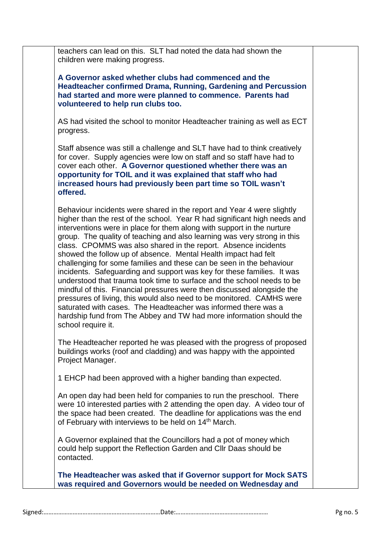teachers can lead on this. SLT had noted the data had shown the children were making progress. **A Governor asked whether clubs had commenced and the Headteacher confirmed Drama, Running, Gardening and Percussion had started and more were planned to commence. Parents had volunteered to help run clubs too.** AS had visited the school to monitor Headteacher training as well as ECT progress. Staff absence was still a challenge and SLT have had to think creatively for cover. Supply agencies were low on staff and so staff have had to cover each other. **A Governor questioned whether there was an opportunity for TOIL and it was explained that staff who had increased hours had previously been part time so TOIL wasn't offered.** Behaviour incidents were shared in the report and Year 4 were slightly higher than the rest of the school. Year R had significant high needs and interventions were in place for them along with support in the nurture group. The quality of teaching and also learning was very strong in this class. CPOMMS was also shared in the report. Absence incidents showed the follow up of absence. Mental Health impact had felt challenging for some families and these can be seen in the behaviour incidents. Safeguarding and support was key for these families. It was understood that trauma took time to surface and the school needs to be mindful of this. Financial pressures were then discussed alongside the pressures of living, this would also need to be monitored. CAMHS were saturated with cases. The Headteacher was informed there was a hardship fund from The Abbey and TW had more information should the school require it. The Headteacher reported he was pleased with the progress of proposed buildings works (roof and cladding) and was happy with the appointed Project Manager. 1 EHCP had been approved with a higher banding than expected. An open day had been held for companies to run the preschool. There were 10 interested parties with 2 attending the open day. A video tour of the space had been created. The deadline for applications was the end of February with interviews to be held on 14<sup>th</sup> March. A Governor explained that the Councillors had a pot of money which could help support the Reflection Garden and Cllr Daas should be contacted. **The Headteacher was asked that if Governor support for Mock SATS was required and Governors would be needed on Wednesday and**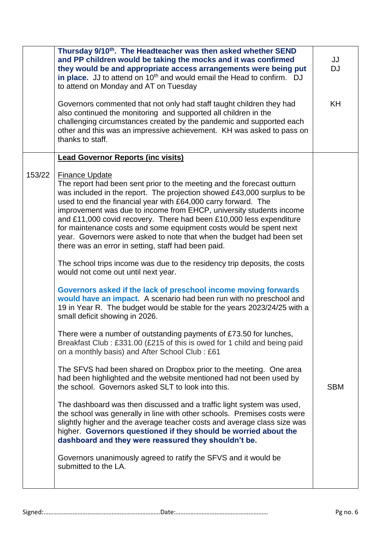|        | Thursday 9/10 <sup>th</sup> . The Headteacher was then asked whether SEND<br>and PP children would be taking the mocks and it was confirmed<br>they would be and appropriate access arrangements were being put<br>in place. JJ to attend on 10 <sup>th</sup> and would email the Head to confirm. DJ<br>to attend on Monday and AT on Tuesday                                                                                                                                                                                                                                                  | JJ<br><b>DJ</b> |
|--------|-------------------------------------------------------------------------------------------------------------------------------------------------------------------------------------------------------------------------------------------------------------------------------------------------------------------------------------------------------------------------------------------------------------------------------------------------------------------------------------------------------------------------------------------------------------------------------------------------|-----------------|
|        | Governors commented that not only had staff taught children they had<br>also continued the monitoring and supported all children in the<br>challenging circumstances created by the pandemic and supported each<br>other and this was an impressive achievement. KH was asked to pass on<br>thanks to staff.                                                                                                                                                                                                                                                                                    | KH              |
|        | <b>Lead Governor Reports (inc visits)</b>                                                                                                                                                                                                                                                                                                                                                                                                                                                                                                                                                       |                 |
| 153/22 | <b>Finance Update</b><br>The report had been sent prior to the meeting and the forecast outturn<br>was included in the report. The projection showed £43,000 surplus to be<br>used to end the financial year with £64,000 carry forward. The<br>improvement was due to income from EHCP, university students income<br>and £11,000 covid recovery. There had been £10,000 less expenditure<br>for maintenance costs and some equipment costs would be spent next<br>year. Governors were asked to note that when the budget had been set<br>there was an error in setting, staff had been paid. |                 |
|        | The school trips income was due to the residency trip deposits, the costs<br>would not come out until next year.                                                                                                                                                                                                                                                                                                                                                                                                                                                                                |                 |
|        | Governors asked if the lack of preschool income moving forwards<br>would have an impact. A scenario had been run with no preschool and<br>19 in Year R. The budget would be stable for the years 2023/24/25 with a<br>small deficit showing in 2026.                                                                                                                                                                                                                                                                                                                                            |                 |
|        | There were a number of outstanding payments of £73.50 for lunches,<br>Breakfast Club: £331.00 (£215 of this is owed for 1 child and being paid<br>on a monthly basis) and After School Club: £61                                                                                                                                                                                                                                                                                                                                                                                                |                 |
|        | The SFVS had been shared on Dropbox prior to the meeting. One area<br>had been highlighted and the website mentioned had not been used by<br>the school. Governors asked SLT to look into this.                                                                                                                                                                                                                                                                                                                                                                                                 | <b>SBM</b>      |
|        | The dashboard was then discussed and a traffic light system was used,<br>the school was generally in line with other schools. Premises costs were<br>slightly higher and the average teacher costs and average class size was<br>higher. Governors questioned if they should be worried about the<br>dashboard and they were reassured they shouldn't be.                                                                                                                                                                                                                                       |                 |
|        | Governors unanimously agreed to ratify the SFVS and it would be<br>submitted to the LA.                                                                                                                                                                                                                                                                                                                                                                                                                                                                                                         |                 |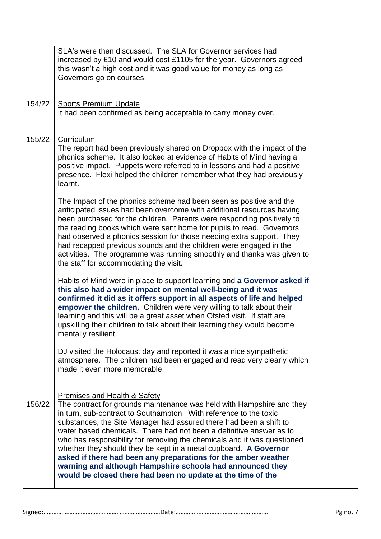|        | SLA's were then discussed. The SLA for Governor services had<br>increased by £10 and would cost £1105 for the year. Governors agreed<br>this wasn't a high cost and it was good value for money as long as<br>Governors go on courses.                                                                                                                                                                                                                                                                                                                                                                                                                               |  |
|--------|----------------------------------------------------------------------------------------------------------------------------------------------------------------------------------------------------------------------------------------------------------------------------------------------------------------------------------------------------------------------------------------------------------------------------------------------------------------------------------------------------------------------------------------------------------------------------------------------------------------------------------------------------------------------|--|
| 154/22 | <b>Sports Premium Update</b><br>It had been confirmed as being acceptable to carry money over.                                                                                                                                                                                                                                                                                                                                                                                                                                                                                                                                                                       |  |
| 155/22 | Curriculum<br>The report had been previously shared on Dropbox with the impact of the<br>phonics scheme. It also looked at evidence of Habits of Mind having a<br>positive impact. Puppets were referred to in lessons and had a positive<br>presence. Flexi helped the children remember what they had previously<br>learnt.                                                                                                                                                                                                                                                                                                                                        |  |
|        | The Impact of the phonics scheme had been seen as positive and the<br>anticipated issues had been overcome with additional resources having<br>been purchased for the children. Parents were responding positively to<br>the reading books which were sent home for pupils to read. Governors<br>had observed a phonics session for those needing extra support. They<br>had recapped previous sounds and the children were engaged in the<br>activities. The programme was running smoothly and thanks was given to<br>the staff for accommodating the visit.                                                                                                       |  |
|        | Habits of Mind were in place to support learning and a Governor asked if<br>this also had a wider impact on mental well-being and it was<br>confirmed it did as it offers support in all aspects of life and helped<br>empower the children. Children were very willing to talk about their<br>learning and this will be a great asset when Ofsted visit. If staff are<br>upskilling their children to talk about their learning they would become<br>mentally resilient.                                                                                                                                                                                            |  |
|        | DJ visited the Holocaust day and reported it was a nice sympathetic<br>atmosphere. The children had been engaged and read very clearly which<br>made it even more memorable.                                                                                                                                                                                                                                                                                                                                                                                                                                                                                         |  |
| 156/22 | Premises and Health & Safety<br>The contract for grounds maintenance was held with Hampshire and they<br>in turn, sub-contract to Southampton. With reference to the toxic<br>substances, the Site Manager had assured there had been a shift to<br>water based chemicals. There had not been a definitive answer as to<br>who has responsibility for removing the chemicals and it was questioned<br>whether they should they be kept in a metal cupboard. A Governor<br>asked if there had been any preparations for the amber weather<br>warning and although Hampshire schools had announced they<br>would be closed there had been no update at the time of the |  |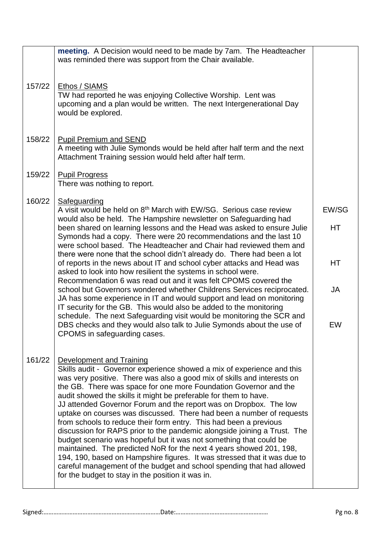|        | meeting. A Decision would need to be made by 7am. The Headteacher<br>was reminded there was support from the Chair available.                                                                                                                                                                                                                                                                                                                                                                                                                                                                                                                                                                                                                                                                                                                                                                                                                                                     |           |
|--------|-----------------------------------------------------------------------------------------------------------------------------------------------------------------------------------------------------------------------------------------------------------------------------------------------------------------------------------------------------------------------------------------------------------------------------------------------------------------------------------------------------------------------------------------------------------------------------------------------------------------------------------------------------------------------------------------------------------------------------------------------------------------------------------------------------------------------------------------------------------------------------------------------------------------------------------------------------------------------------------|-----------|
| 157/22 | Ethos / SIAMS<br>TW had reported he was enjoying Collective Worship. Lent was<br>upcoming and a plan would be written. The next Intergenerational Day<br>would be explored.                                                                                                                                                                                                                                                                                                                                                                                                                                                                                                                                                                                                                                                                                                                                                                                                       |           |
| 158/22 | <b>Pupil Premium and SEND</b><br>A meeting with Julie Symonds would be held after half term and the next<br>Attachment Training session would held after half term.                                                                                                                                                                                                                                                                                                                                                                                                                                                                                                                                                                                                                                                                                                                                                                                                               |           |
| 159/22 | <b>Pupil Progress</b><br>There was nothing to report.                                                                                                                                                                                                                                                                                                                                                                                                                                                                                                                                                                                                                                                                                                                                                                                                                                                                                                                             |           |
| 160/22 | Safeguarding<br>A visit would be held on 8 <sup>th</sup> March with EW/SG. Serious case review                                                                                                                                                                                                                                                                                                                                                                                                                                                                                                                                                                                                                                                                                                                                                                                                                                                                                    | EW/SG     |
|        | would also be held. The Hampshire newsletter on Safeguarding had<br>been shared on learning lessons and the Head was asked to ensure Julie<br>Symonds had a copy. There were 20 recommendations and the last 10<br>were school based. The Headteacher and Chair had reviewed them and                                                                                                                                                                                                                                                                                                                                                                                                                                                                                                                                                                                                                                                                                             | HT        |
|        | there were none that the school didn't already do. There had been a lot<br>of reports in the news about IT and school cyber attacks and Head was<br>asked to look into how resilient the systems in school were.                                                                                                                                                                                                                                                                                                                                                                                                                                                                                                                                                                                                                                                                                                                                                                  | <b>HT</b> |
|        | Recommendation 6 was read out and it was felt CPOMS covered the<br>school but Governors wondered whether Childrens Services reciprocated.<br>JA has some experience in IT and would support and lead on monitoring<br>IT security for the GB. This would also be added to the monitoring                                                                                                                                                                                                                                                                                                                                                                                                                                                                                                                                                                                                                                                                                          | JA        |
|        | schedule. The next Safeguarding visit would be monitoring the SCR and<br>DBS checks and they would also talk to Julie Symonds about the use of<br>CPOMS in safeguarding cases.                                                                                                                                                                                                                                                                                                                                                                                                                                                                                                                                                                                                                                                                                                                                                                                                    | EW        |
| 161/22 | <b>Development and Training</b><br>Skills audit - Governor experience showed a mix of experience and this<br>was very positive. There was also a good mix of skills and interests on<br>the GB. There was space for one more Foundation Governor and the<br>audit showed the skills it might be preferable for them to have.<br>JJ attended Governor Forum and the report was on Dropbox. The low<br>uptake on courses was discussed. There had been a number of requests<br>from schools to reduce their form entry. This had been a previous<br>discussion for RAPS prior to the pandemic alongside joining a Trust. The<br>budget scenario was hopeful but it was not something that could be<br>maintained. The predicted NoR for the next 4 years showed 201, 198,<br>194, 190, based on Hampshire figures. It was stressed that it was due to<br>careful management of the budget and school spending that had allowed<br>for the budget to stay in the position it was in. |           |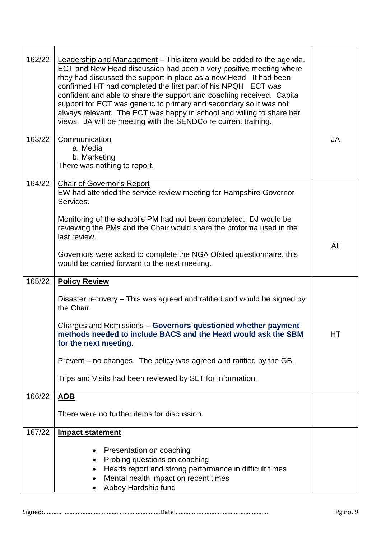| 162/22<br>163/22 | Leadership and Management - This item would be added to the agenda.<br>ECT and New Head discussion had been a very positive meeting where<br>they had discussed the support in place as a new Head. It had been<br>confirmed HT had completed the first part of his NPQH. ECT was<br>confident and able to share the support and coaching received. Capita<br>support for ECT was generic to primary and secondary so it was not<br>always relevant. The ECT was happy in school and willing to share her<br>views. JA will be meeting with the SENDCo re current training.<br>Communication<br>a. Media | JA  |
|------------------|----------------------------------------------------------------------------------------------------------------------------------------------------------------------------------------------------------------------------------------------------------------------------------------------------------------------------------------------------------------------------------------------------------------------------------------------------------------------------------------------------------------------------------------------------------------------------------------------------------|-----|
|                  | b. Marketing<br>There was nothing to report.                                                                                                                                                                                                                                                                                                                                                                                                                                                                                                                                                             |     |
| 164/22           | <b>Chair of Governor's Report</b><br>EW had attended the service review meeting for Hampshire Governor<br>Services.                                                                                                                                                                                                                                                                                                                                                                                                                                                                                      |     |
|                  | Monitoring of the school's PM had not been completed. DJ would be<br>reviewing the PMs and the Chair would share the proforma used in the<br>last review.                                                                                                                                                                                                                                                                                                                                                                                                                                                |     |
|                  | Governors were asked to complete the NGA Ofsted questionnaire, this<br>would be carried forward to the next meeting.                                                                                                                                                                                                                                                                                                                                                                                                                                                                                     | All |
| 165/22           | <b>Policy Review</b>                                                                                                                                                                                                                                                                                                                                                                                                                                                                                                                                                                                     |     |
|                  | Disaster recovery – This was agreed and ratified and would be signed by<br>the Chair.                                                                                                                                                                                                                                                                                                                                                                                                                                                                                                                    |     |
|                  | Charges and Remissions - Governors questioned whether payment<br>methods needed to include BACS and the Head would ask the SBM<br>for the next meeting.                                                                                                                                                                                                                                                                                                                                                                                                                                                  | HT  |
|                  | Prevent – no changes. The policy was agreed and ratified by the GB.                                                                                                                                                                                                                                                                                                                                                                                                                                                                                                                                      |     |
|                  | Trips and Visits had been reviewed by SLT for information.                                                                                                                                                                                                                                                                                                                                                                                                                                                                                                                                               |     |
| 166/22           | <b>AOB</b>                                                                                                                                                                                                                                                                                                                                                                                                                                                                                                                                                                                               |     |
|                  | There were no further items for discussion.                                                                                                                                                                                                                                                                                                                                                                                                                                                                                                                                                              |     |
| 167/22           | <b>Impact statement</b>                                                                                                                                                                                                                                                                                                                                                                                                                                                                                                                                                                                  |     |
|                  | Presentation on coaching<br>Probing questions on coaching<br>Heads report and strong performance in difficult times<br>Mental health impact on recent times<br>$\bullet$<br>Abbey Hardship fund                                                                                                                                                                                                                                                                                                                                                                                                          |     |